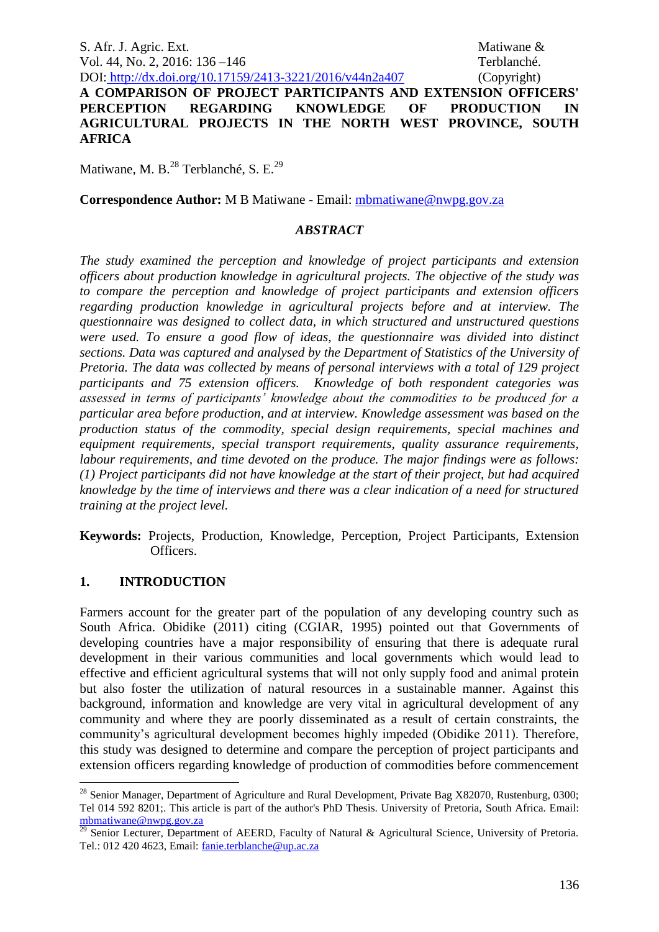S. Afr. J. Agric. Ext. Matiwane & Vol. 44, No. 2, 2016: 136 –146 Terblanché. DOI: http://dx.doi.org/10.17159/2413-3221/2016/v44n2a407 (Copyright)

**A COMPARISON OF PROJECT PARTICIPANTS AND EXTENSION OFFICERS' PERCEPTION REGARDING KNOWLEDGE OF PRODUCTION IN AGRICULTURAL PROJECTS IN THE NORTH WEST PROVINCE, SOUTH AFRICA**

Matiwane, M. B.<sup>28</sup> Terblanché, S. E.<sup>29</sup>

**Correspondence Author:** M B Matiwane - Email: [mbmatiwane@nwpg.gov.za](mailto:mbmatiwane@nwpg.gov.za)

### *ABSTRACT*

*The study examined the perception and knowledge of project participants and extension officers about production knowledge in agricultural projects. The objective of the study was to compare the perception and knowledge of project participants and extension officers regarding production knowledge in agricultural projects before and at interview. The questionnaire was designed to collect data, in which structured and unstructured questions were used. To ensure a good flow of ideas, the questionnaire was divided into distinct sections. Data was captured and analysed by the Department of Statistics of the University of Pretoria. The data was collected by means of personal interviews with a total of 129 project participants and 75 extension officers. Knowledge of both respondent categories was assessed in terms of participants' knowledge about the commodities to be produced for a particular area before production, and at interview. Knowledge assessment was based on the production status of the commodity, special design requirements, special machines and equipment requirements, special transport requirements, quality assurance requirements, labour requirements, and time devoted on the produce. The major findings were as follows: (1) Project participants did not have knowledge at the start of their project, but had acquired knowledge by the time of interviews and there was a clear indication of a need for structured training at the project level.*

**Keywords:** Projects, Production, Knowledge, Perception, Project Participants, Extension Officers.

### **1. INTRODUCTION**

<u>.</u>

Farmers account for the greater part of the population of any developing country such as South Africa. Obidike (2011) citing (CGIAR, 1995) pointed out that Governments of developing countries have a major responsibility of ensuring that there is adequate rural development in their various communities and local governments which would lead to effective and efficient agricultural systems that will not only supply food and animal protein but also foster the utilization of natural resources in a sustainable manner. Against this background, information and knowledge are very vital in agricultural development of any community and where they are poorly disseminated as a result of certain constraints, the community's agricultural development becomes highly impeded (Obidike 2011). Therefore, this study was designed to determine and compare the perception of project participants and extension officers regarding knowledge of production of commodities before commencement

<sup>&</sup>lt;sup>28</sup> Senior Manager, Department of Agriculture and Rural Development, Private Bag X82070, Rustenburg, 0300; Tel 014 592 8201;. This article is part of the author's PhD Thesis. University of Pretoria, South Africa. Email: [mbmatiwane@nwpg.gov.za](mailto:mbmatiwane@nwpg.gov.za) 

 $^{29}$  Senior Lecturer, Department of AEERD, Faculty of Natural & Agricultural Science, University of Pretoria. Tel.: 012 420 4623, Email: [fanie.terblanche@up.ac.za](mailto:fanie.terblanche@up.ac.za)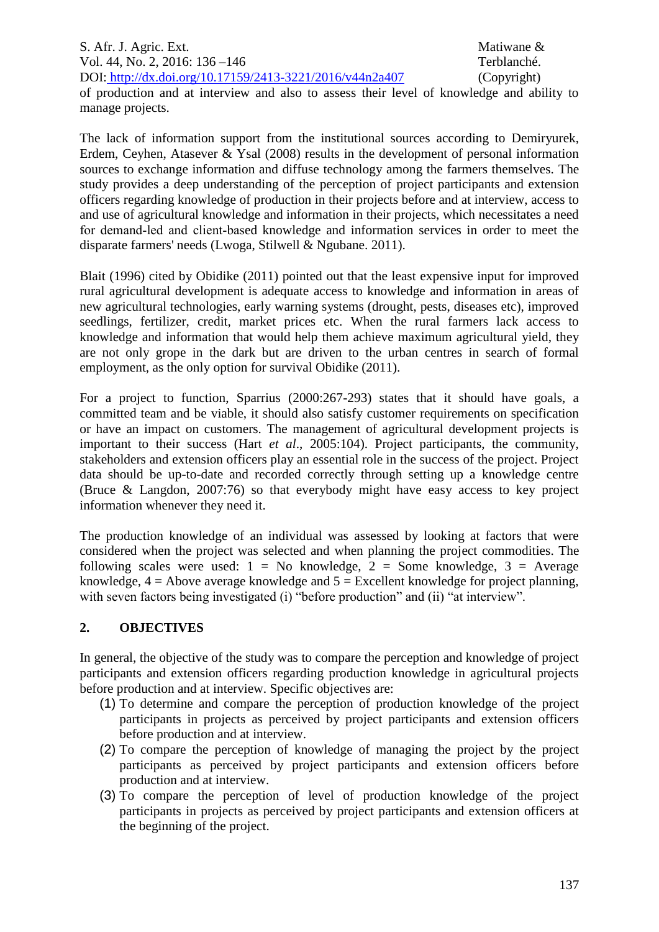S. Afr. J. Agric. Ext. Matiwane & Vol. 44, No. 2, 2016: 136 –146 Terblanché. DOI: http://dx.doi.org/10.17159/2413-3221/2016/v44n2a407 (Copyright)

of production and at interview and also to assess their level of knowledge and ability to manage projects.

The lack of information support from the institutional sources according to Demiryurek, Erdem, Ceyhen, Atasever & Ysal (2008) results in the development of personal information sources to exchange information and diffuse technology among the farmers themselves. The study provides a deep understanding of the perception of project participants and extension officers regarding knowledge of production in their projects before and at interview, access to and use of agricultural knowledge and information in their projects, which necessitates a need for demand‐led and client‐based knowledge and information services in order to meet the disparate farmers' needs (Lwoga, Stilwell & Ngubane. 2011).

Blait (1996) cited by Obidike (2011) pointed out that the least expensive input for improved rural agricultural development is adequate access to knowledge and information in areas of new agricultural technologies, early warning systems (drought, pests, diseases etc), improved seedlings, fertilizer, credit, market prices etc. When the rural farmers lack access to knowledge and information that would help them achieve maximum agricultural yield, they are not only grope in the dark but are driven to the urban centres in search of formal employment, as the only option for survival Obidike (2011).

For a project to function, Sparrius (2000:267-293) states that it should have goals, a committed team and be viable, it should also satisfy customer requirements on specification or have an impact on customers. The management of agricultural development projects is important to their success (Hart *et al*., 2005:104). Project participants, the community, stakeholders and extension officers play an essential role in the success of the project. Project data should be up-to-date and recorded correctly through setting up a knowledge centre (Bruce & Langdon, 2007:76) so that everybody might have easy access to key project information whenever they need it.

The production knowledge of an individual was assessed by looking at factors that were considered when the project was selected and when planning the project commodities. The following scales were used:  $1 = No$  knowledge,  $2 = Some$  knowledge,  $3 = Average$ knowledge,  $4 =$  Above average knowledge and  $5 =$  Excellent knowledge for project planning, with seven factors being investigated (i) "before production" and (ii) "at interview".

## **2. OBJECTIVES**

In general, the objective of the study was to compare the perception and knowledge of project participants and extension officers regarding production knowledge in agricultural projects before production and at interview. Specific objectives are:

- (1) To determine and compare the perception of production knowledge of the project participants in projects as perceived by project participants and extension officers before production and at interview.
- (2) To compare the perception of knowledge of managing the project by the project participants as perceived by project participants and extension officers before production and at interview.
- (3) To compare the perception of level of production knowledge of the project participants in projects as perceived by project participants and extension officers at the beginning of the project.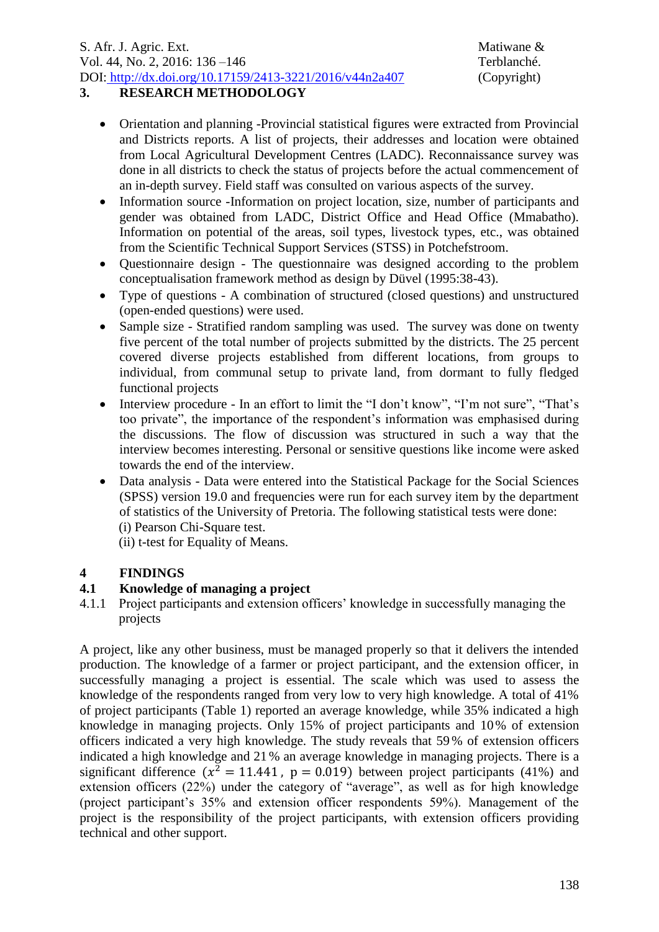# **3. RESEARCH METHODOLOGY**

- Orientation and planning -Provincial statistical figures were extracted from Provincial and Districts reports. A list of projects, their addresses and location were obtained from Local Agricultural Development Centres (LADC). Reconnaissance survey was done in all districts to check the status of projects before the actual commencement of an in-depth survey. Field staff was consulted on various aspects of the survey.
- Information source -Information on project location, size, number of participants and gender was obtained from LADC, District Office and Head Office (Mmabatho). Information on potential of the areas, soil types, livestock types, etc., was obtained from the Scientific Technical Support Services (STSS) in Potchefstroom.
- Questionnaire design The questionnaire was designed according to the problem conceptualisation framework method as design by Düvel (1995:38-43).
- Type of questions A combination of structured (closed questions) and unstructured (open-ended questions) were used.
- Sample size Stratified random sampling was used. The survey was done on twenty five percent of the total number of projects submitted by the districts. The 25 percent covered diverse projects established from different locations, from groups to individual, from communal setup to private land, from dormant to fully fledged functional projects
- Interview procedure In an effort to limit the "I don't know", "I'm not sure", "That's too private", the importance of the respondent's information was emphasised during the discussions. The flow of discussion was structured in such a way that the interview becomes interesting. Personal or sensitive questions like income were asked towards the end of the interview.
- Data analysis Data were entered into the Statistical Package for the Social Sciences (SPSS) version 19.0 and frequencies were run for each survey item by the department of statistics of the University of Pretoria. The following statistical tests were done: (i) Pearson Chi-Square test. (ii) t-test for Equality of Means.

# **4 FINDINGS**

# **4.1 Knowledge of managing a project**

4.1.1 Project participants and extension officers' knowledge in successfully managing the projects

A project, like any other business, must be managed properly so that it delivers the intended production. The knowledge of a farmer or project participant, and the extension officer, in successfully managing a project is essential. The scale which was used to assess the knowledge of the respondents ranged from very low to very high knowledge. A total of 41% of project participants (Table 1) reported an average knowledge, while 35% indicated a high knowledge in managing projects. Only 15% of project participants and 10% of extension officers indicated a very high knowledge. The study reveals that 59 % of extension officers indicated a high knowledge and 21 % an average knowledge in managing projects. There is a significant difference ( $x^2 = 11.441$ ,  $p = 0.019$ ) between project participants (41%) and extension officers (22%) under the category of "average", as well as for high knowledge (project participant's 35% and extension officer respondents 59%). Management of the project is the responsibility of the project participants, with extension officers providing technical and other support.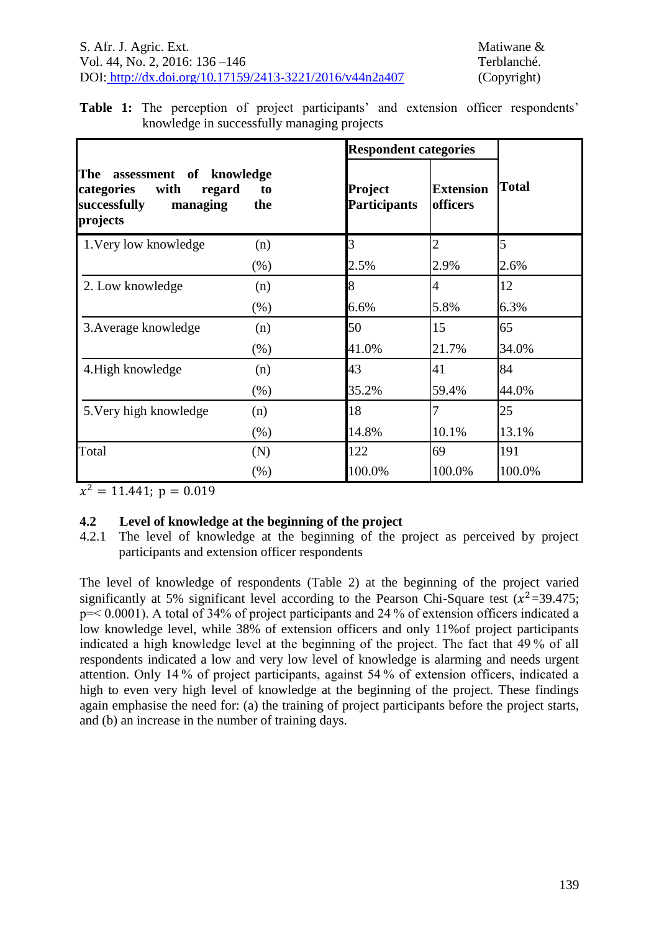|                                                                                                        |           | <b>Respondent categories</b>   |                              |              |
|--------------------------------------------------------------------------------------------------------|-----------|--------------------------------|------------------------------|--------------|
| The<br>assessment of knowledge<br>categories<br>with<br>regard<br>successfully<br>managing<br>projects | to<br>the | Project<br><b>Participants</b> | <b>Extension</b><br>officers | <b>Total</b> |
| 1. Very low knowledge                                                                                  | (n)       | 3                              | $\overline{2}$               | 5            |
|                                                                                                        | $(\% )$   | 2.5%                           | 2.9%                         | 2.6%         |
| 2. Low knowledge                                                                                       | (n)       | 8                              | 4                            | 12           |
|                                                                                                        | $(\% )$   | 6.6%                           | 5.8%                         | 6.3%         |
| 3. Average knowledge                                                                                   | (n)       | 50                             | 15                           | 65           |
|                                                                                                        | $(\% )$   | 41.0%                          | 21.7%                        | 34.0%        |
| 4. High knowledge                                                                                      | (n)       | 43                             | 41                           | 84           |
|                                                                                                        | $(\% )$   | 35.2%                          | 59.4%                        | 44.0%        |
| 5. Very high knowledge                                                                                 | (n)       | 18                             |                              | 25           |
|                                                                                                        | (% )      | 14.8%                          | 10.1%                        | 13.1%        |
| Total                                                                                                  | (N)       | 122                            | 69                           | 191          |
|                                                                                                        | $(\%)$    | 100.0%                         | 100.0%                       | 100.0%       |

**Table 1:** The perception of project participants' and extension officer respondents' knowledge in successfully managing projects

 $x^2$ 

## **4.2 Level of knowledge at the beginning of the project**

4.2.1 The level of knowledge at the beginning of the project as perceived by project participants and extension officer respondents

The level of knowledge of respondents (Table 2) at the beginning of the project varied significantly at 5% significant level according to the Pearson Chi-Square test  $(x^2=39.475;$ p=< 0.0001). A total of 34% of project participants and 24 % of extension officers indicated a low knowledge level, while 38% of extension officers and only 11%of project participants indicated a high knowledge level at the beginning of the project. The fact that 49 % of all respondents indicated a low and very low level of knowledge is alarming and needs urgent attention. Only 14 % of project participants, against 54 % of extension officers, indicated a high to even very high level of knowledge at the beginning of the project. These findings again emphasise the need for: (a) the training of project participants before the project starts, and (b) an increase in the number of training days.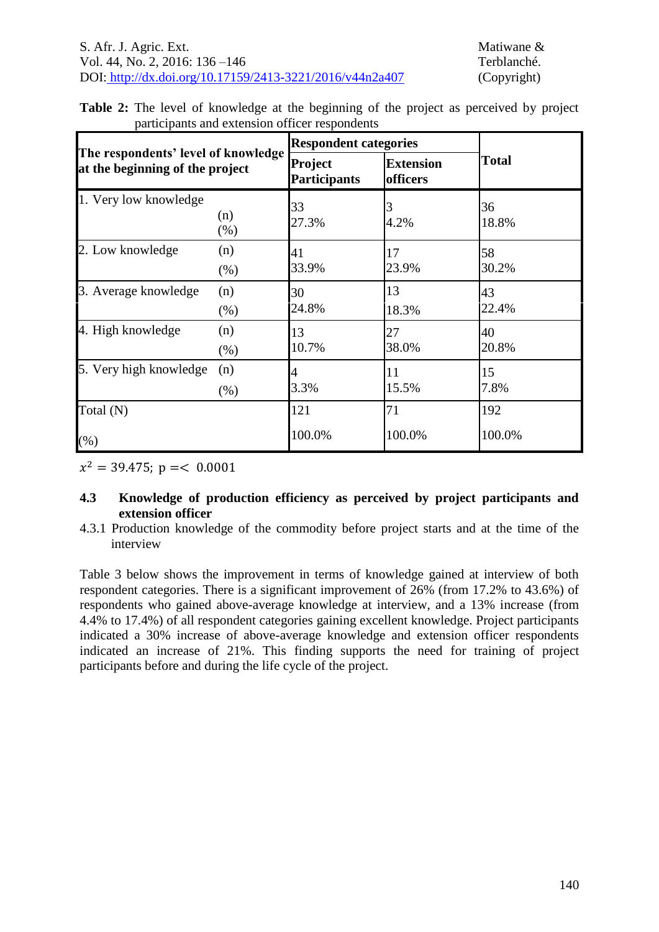| participants and extension officer respondents |  |  | <b>Table 2:</b> The level of knowledge at the beginning of the project as perceived by project |  |  |  |  |
|------------------------------------------------|--|--|------------------------------------------------------------------------------------------------|--|--|--|--|
|                                                |  |  |                                                                                                |  |  |  |  |

|                                                                        |             |                                       | <b>Respondent categories</b> |              |  |  |  |
|------------------------------------------------------------------------|-------------|---------------------------------------|------------------------------|--------------|--|--|--|
| The respondents' level of knowledge<br>at the beginning of the project |             | <b>Project</b><br><b>Participants</b> | <b>Extension</b><br>officers | <b>Total</b> |  |  |  |
| 1. Very low knowledge                                                  | (n)<br>(% ) | 33<br>27.3%                           | 4.2%                         | 36<br>18.8%  |  |  |  |
| 2. Low knowledge                                                       | (n)<br>(% ) | 41<br>33.9%                           | 17<br>23.9%                  | 58<br>30.2%  |  |  |  |
| 3. Average knowledge                                                   | (n)<br>(% ) | 30<br>24.8%                           | 13<br>18.3%                  | 43<br>22.4%  |  |  |  |
| 4. High knowledge                                                      | (n)<br>(% ) | 13<br>10.7%                           | 27<br>38.0%                  | 40<br>20.8%  |  |  |  |
| 5. Very high knowledge                                                 | (n)<br>(% ) | 4<br>3.3%                             | 11<br>15.5%                  | 15<br>7.8%   |  |  |  |
| Total (N)                                                              |             | 121                                   | 71                           | 192          |  |  |  |
| $(\% )$                                                                |             | 100.0%                                | 100.0%                       | 100.0%       |  |  |  |

 $x^2$ 

## **4.3 Knowledge of production efficiency as perceived by project participants and extension officer**

4.3.1 Production knowledge of the commodity before project starts and at the time of the interview

Table 3 [below](#page-5-0) shows the improvement in terms of knowledge gained at interview of both respondent categories. There is a significant improvement of 26% (from 17.2% to 43.6%) of respondents who gained above-average knowledge at interview, and a 13% increase (from 4.4% to 17.4%) of all respondent categories gaining excellent knowledge. Project participants indicated a 30% increase of above-average knowledge and extension officer respondents indicated an increase of 21%. This finding supports the need for training of project participants before and during the life cycle of the project.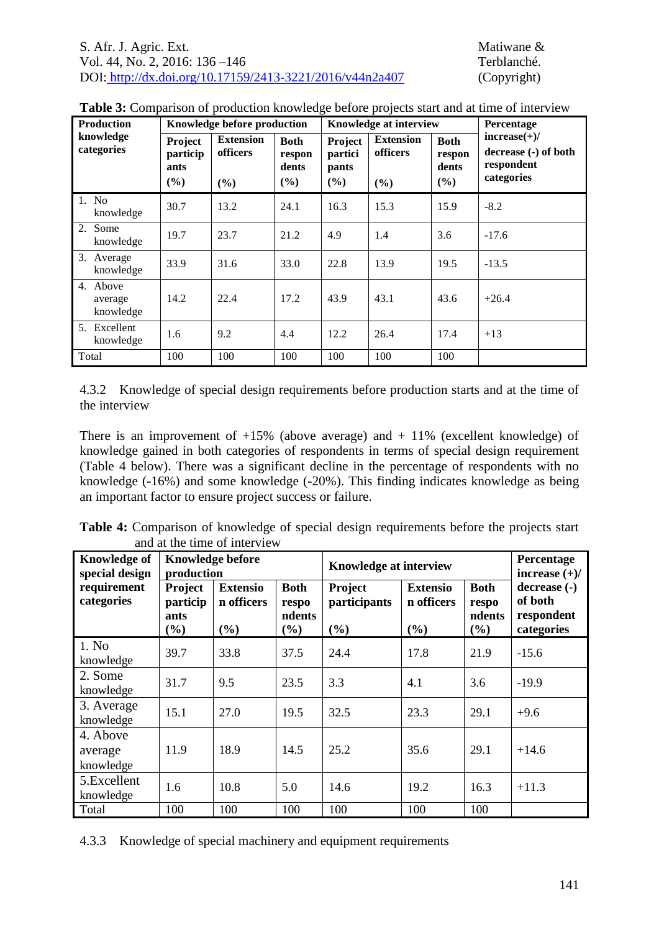<span id="page-5-0"></span>

|  |  | Table 3: Comparison of production knowledge before projects start and at time of interview |  |  |  |  |  |
|--|--|--------------------------------------------------------------------------------------------|--|--|--|--|--|
|  |  |                                                                                            |  |  |  |  |  |

| <b>Production</b>                |                                    | Knowledge before production         |                                       |                                    | Knowledge at interview              |                                       | Percentage                                                         |
|----------------------------------|------------------------------------|-------------------------------------|---------------------------------------|------------------------------------|-------------------------------------|---------------------------------------|--------------------------------------------------------------------|
| knowledge<br>categories          | Project<br>particip<br>ants<br>(%) | <b>Extension</b><br>officers<br>(%) | <b>Both</b><br>respon<br>dents<br>(%) | Project<br>partici<br>pants<br>(%) | <b>Extension</b><br>officers<br>(%) | <b>Both</b><br>respon<br>dents<br>(%) | $increase(+)/$<br>decrease (-) of both<br>respondent<br>categories |
| 1. No<br>knowledge               | 30.7                               | 13.2                                | 24.1                                  | 16.3                               | 15.3                                | 15.9                                  | $-8.2$                                                             |
| 2. Some<br>knowledge             | 19.7                               | 23.7                                | 21.2                                  | 4.9                                | 1.4                                 | 3.6                                   | $-17.6$                                                            |
| 3.<br>Average<br>knowledge       | 33.9                               | 31.6                                | 33.0                                  | 22.8                               | 13.9                                | 19.5                                  | $-13.5$                                                            |
| 4. Above<br>average<br>knowledge | 14.2                               | 22.4                                | 17.2                                  | 43.9                               | 43.1                                | 43.6                                  | $+26.4$                                                            |
| 5. Excellent<br>knowledge        | 1.6                                | 9.2                                 | 4.4                                   | 12.2                               | 26.4                                | 17.4                                  | $+13$                                                              |
| Total                            | 100                                | 100                                 | 100                                   | 100                                | 100                                 | 100                                   |                                                                    |

4.3.2 Knowledge of special design requirements before production starts and at the time of the interview

There is an improvement of  $+15\%$  (above average) and  $+11\%$  (excellent knowledge) of knowledge gained in both categories of respondents in terms of special design requirement (Table 4 [below\)](#page-5-1). There was a significant decline in the percentage of respondents with no knowledge (-16%) and some knowledge (-20%). This finding indicates knowledge as being an important factor to ensure project success or failure.

<span id="page-5-1"></span>

|                              |  |  | Table 4: Comparison of knowledge of special design requirements before the projects start |  |  |
|------------------------------|--|--|-------------------------------------------------------------------------------------------|--|--|
| and at the time of interview |  |  |                                                                                           |  |  |

| <b>Knowledge of</b><br>special design | <b>Knowledge before</b><br>production |                                      |                                          | <b>Knowledge at interview</b>  |                                      |                                       | Percentage<br>increase $(+)/$                       |
|---------------------------------------|---------------------------------------|--------------------------------------|------------------------------------------|--------------------------------|--------------------------------------|---------------------------------------|-----------------------------------------------------|
| requirement<br>categories             | Project<br>particip<br>ants<br>$(\%)$ | <b>Extensio</b><br>n officers<br>(%) | <b>Both</b><br>respo<br>ndents<br>$(\%)$ | Project<br>participants<br>(%) | <b>Extensio</b><br>n officers<br>(%) | <b>Both</b><br>respo<br>ndents<br>(%) | decrease (-)<br>of both<br>respondent<br>categories |
| 1. No<br>knowledge                    | 39.7                                  | 33.8                                 | 37.5                                     | 24.4                           | 17.8                                 | 21.9                                  | $-15.6$                                             |
| 2. Some<br>knowledge                  | 31.7                                  | 9.5                                  | 23.5                                     | 3.3                            | 4.1                                  | 3.6                                   | $-19.9$                                             |
| 3. Average<br>knowledge               | 15.1                                  | 27.0                                 | 19.5                                     | 32.5                           | 23.3                                 | 29.1                                  | $+9.6$                                              |
| 4. Above<br>average<br>knowledge      | 11.9                                  | 18.9                                 | 14.5                                     | 25.2                           | 35.6                                 | 29.1                                  | $+14.6$                                             |
| 5.Excellent<br>knowledge              | 1.6                                   | 10.8                                 | 5.0                                      | 14.6                           | 19.2                                 | 16.3                                  | $+11.3$                                             |
| Total                                 | 100                                   | 100                                  | 100                                      | 100                            | 100                                  | 100                                   |                                                     |

4.3.3 Knowledge of special machinery and equipment requirements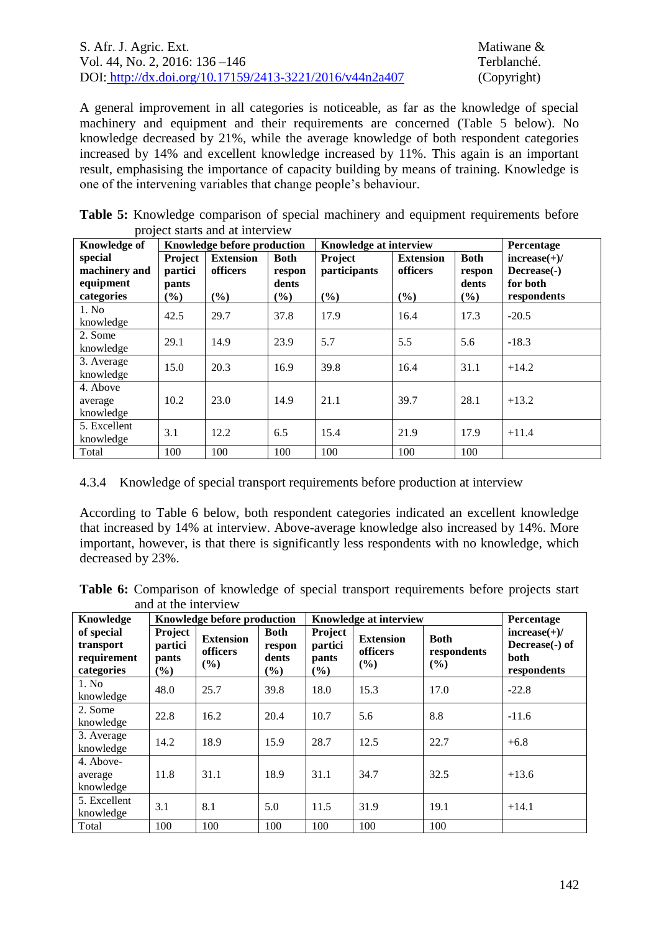| S. Afr. J. Agric. Ext.                                   |
|----------------------------------------------------------|
| Vol. 44, No. 2, 2016: $136 - 146$                        |
| DOI: http://dx.doi.org/10.17159/2413-3221/2016/v44n2a407 |

Matiwane & Terblanché. (Copyright)

A general improvement in all categories is noticeable, as far as the knowledge of special machinery and equipment and their requirements are concerned (Table 5 [below\)](#page-6-0). No knowledge decreased by 21%, while the average knowledge of both respondent categories increased by 14% and excellent knowledge increased by 11%. This again is an important result, emphasising the importance of capacity building by means of training. Knowledge is one of the intervening variables that change people's behaviour.

<span id="page-6-0"></span>**Table 5:** Knowledge comparison of special machinery and equipment requirements before project starts and at interview

| <b>Knowledge of</b>                                 |                                       | Knowledge before production            |                                          | Knowledge at interview         |                                     |                                          | Percentage                                               |
|-----------------------------------------------------|---------------------------------------|----------------------------------------|------------------------------------------|--------------------------------|-------------------------------------|------------------------------------------|----------------------------------------------------------|
| special<br>machinery and<br>equipment<br>categories | Project<br>partici<br>pants<br>$(\%)$ | <b>Extension</b><br>officers<br>$(\%)$ | <b>Both</b><br>respon<br>dents<br>$(\%)$ | Project<br>participants<br>(%) | <b>Extension</b><br>officers<br>(%) | <b>Both</b><br>respon<br>dents<br>$(\%)$ | $increase(+)/$<br>Decrease(-)<br>for both<br>respondents |
| 1. No<br>knowledge                                  | 42.5                                  | 29.7                                   | 37.8                                     | 17.9                           | 16.4                                | 17.3                                     | $-20.5$                                                  |
| 2. Some<br>knowledge                                | 29.1                                  | 14.9                                   | 23.9                                     | 5.7                            | 5.5                                 | 5.6                                      | $-18.3$                                                  |
| 3. Average<br>knowledge                             | 15.0                                  | 20.3                                   | 16.9                                     | 39.8                           | 16.4                                | 31.1                                     | $+14.2$                                                  |
| 4. Above<br>average<br>knowledge                    | 10.2                                  | 23.0                                   | 14.9                                     | 21.1                           | 39.7                                | 28.1                                     | $+13.2$                                                  |
| 5. Excellent<br>knowledge                           | 3.1                                   | 12.2                                   | 6.5                                      | 15.4                           | 21.9                                | 17.9                                     | $+11.4$                                                  |
| Total                                               | 100                                   | 100                                    | 100                                      | 100                            | 100                                 | 100                                      |                                                          |

4.3.4 Knowledge of special transport requirements before production at interview

According to Table 6 [below,](#page-6-1) both respondent categories indicated an excellent knowledge that increased by 14% at interview. Above-average knowledge also increased by 14%. More important, however, is that there is significantly less respondents with no knowledge, which decreased by 23%.

<span id="page-6-1"></span>**Table 6:** Comparison of knowledge of special transport requirements before projects start and at the interview

| Knowledge                                            |                                       | Knowledge before production         |                                                                                                                       |      | <b>Knowledge at interview</b> |                                   | Percentage                                              |
|------------------------------------------------------|---------------------------------------|-------------------------------------|-----------------------------------------------------------------------------------------------------------------------|------|-------------------------------|-----------------------------------|---------------------------------------------------------|
| of special<br>transport<br>requirement<br>categories | Project<br>partici<br>pants<br>$(\%)$ | <b>Extension</b><br>officers<br>(%) | Project<br><b>Both</b><br><b>Extension</b><br>partici<br>respon<br>officers<br>dents<br>pants<br>(%)<br>$(\%)$<br>(%) |      |                               | <b>Both</b><br>respondents<br>(%) | $increase(+)/$<br>Decrease(-) of<br>both<br>respondents |
| 1. No<br>knowledge                                   | 48.0                                  | 25.7                                | 39.8                                                                                                                  | 18.0 | 15.3                          | 17.0                              | $-22.8$                                                 |
| 2. Some<br>knowledge                                 | 22.8                                  | 16.2                                | 20.4                                                                                                                  | 10.7 | 5.6                           | 8.8                               | $-11.6$                                                 |
| 3. Average<br>knowledge                              | 14.2                                  | 18.9                                | 15.9                                                                                                                  | 28.7 | 12.5                          | 22.7                              | $+6.8$                                                  |
| 4. Above-<br>average<br>knowledge                    | 11.8                                  | 31.1                                | 18.9                                                                                                                  | 31.1 | 34.7                          | 32.5                              | $+13.6$                                                 |
| 5. Excellent<br>knowledge                            | 3.1                                   | 8.1                                 | 5.0                                                                                                                   | 11.5 | 31.9                          | 19.1                              | $+14.1$                                                 |
| Total                                                | 100                                   | 100                                 | 100                                                                                                                   | 100  | 100                           | 100                               |                                                         |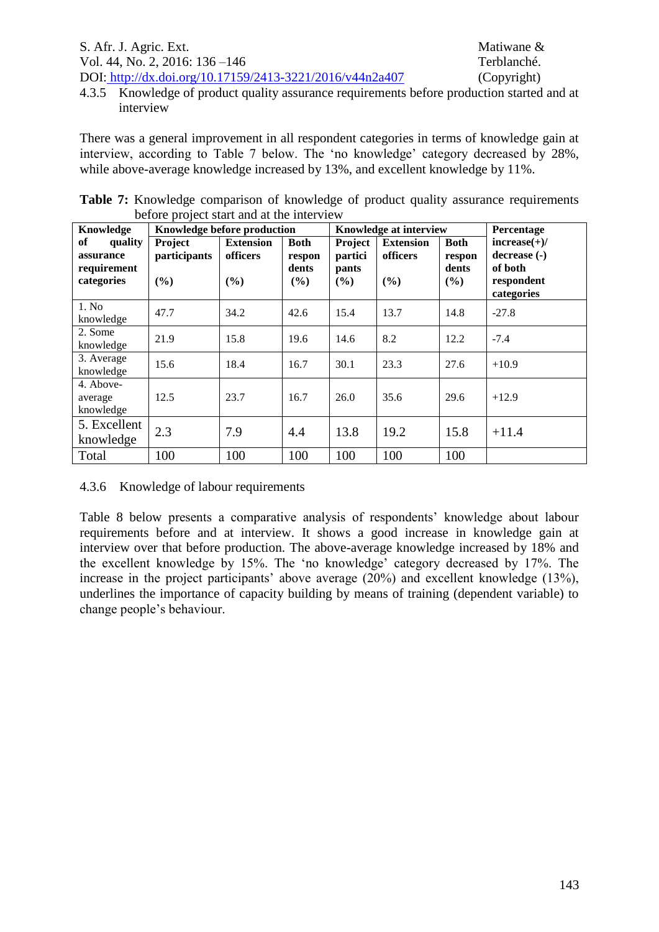4.3.5 Knowledge of product quality assurance requirements before production started and at interview

There was a general improvement in all respondent categories in terms of knowledge gain at interview, according to Table 7 below. The 'no knowledge' category decreased by 28%, while above-average knowledge increased by 13%, and excellent knowledge by 11%.

|  | <b>Table 7:</b> Knowledge comparison of knowledge of product quality assurance requirements |  |  |  |  |
|--|---------------------------------------------------------------------------------------------|--|--|--|--|
|  | before project start and at the interview                                                   |  |  |  |  |

| Knowledge                                                      | Knowledge before production       |                                     |                                       |                                       | Knowledge at interview              |                                       | Percentage                                                            |
|----------------------------------------------------------------|-----------------------------------|-------------------------------------|---------------------------------------|---------------------------------------|-------------------------------------|---------------------------------------|-----------------------------------------------------------------------|
| <b>of</b><br>quality<br>assurance<br>requirement<br>categories | Project<br>participants<br>$($ %) | <b>Extension</b><br>officers<br>(%) | <b>Both</b><br>respon<br>dents<br>(%) | Project<br>partici<br>pants<br>$(\%)$ | <b>Extension</b><br>officers<br>(%) | <b>Both</b><br>respon<br>dents<br>(%) | $increase(+)/$<br>decrease (-)<br>of both<br>respondent<br>categories |
| 1. No<br>knowledge                                             | 47.7                              | 34.2                                | 42.6                                  | 15.4                                  | 13.7                                | 14.8                                  | $-27.8$                                                               |
| 2. Some<br>knowledge                                           | 21.9                              | 15.8                                | 19.6                                  | 14.6                                  | 8.2                                 | 12.2                                  | $-7.4$                                                                |
| 3. Average<br>knowledge                                        | 15.6                              | 18.4                                | 16.7                                  | 30.1                                  | 23.3                                | 27.6                                  | $+10.9$                                                               |
| 4. Above-<br>average<br>knowledge                              | 12.5                              | 23.7                                | 16.7                                  | 26.0                                  | 35.6                                | 29.6                                  | $+12.9$                                                               |
| 5. Excellent<br>knowledge                                      | 2.3                               | 7.9                                 | 4.4                                   | 13.8                                  | 19.2                                | 15.8                                  | $+11.4$                                                               |
| Total                                                          | 100                               | 100                                 | 100                                   | 100                                   | 100                                 | 100                                   |                                                                       |

4.3.6 Knowledge of labour requirements

Table 8 [below](#page-8-0) presents a comparative analysis of respondents' knowledge about labour requirements before and at interview. It shows a good increase in knowledge gain at interview over that before production. The above-average knowledge increased by 18% and the excellent knowledge by 15%. The 'no knowledge' category decreased by 17%. The increase in the project participants' above average (20%) and excellent knowledge (13%), underlines the importance of capacity building by means of training (dependent variable) to change people's behaviour.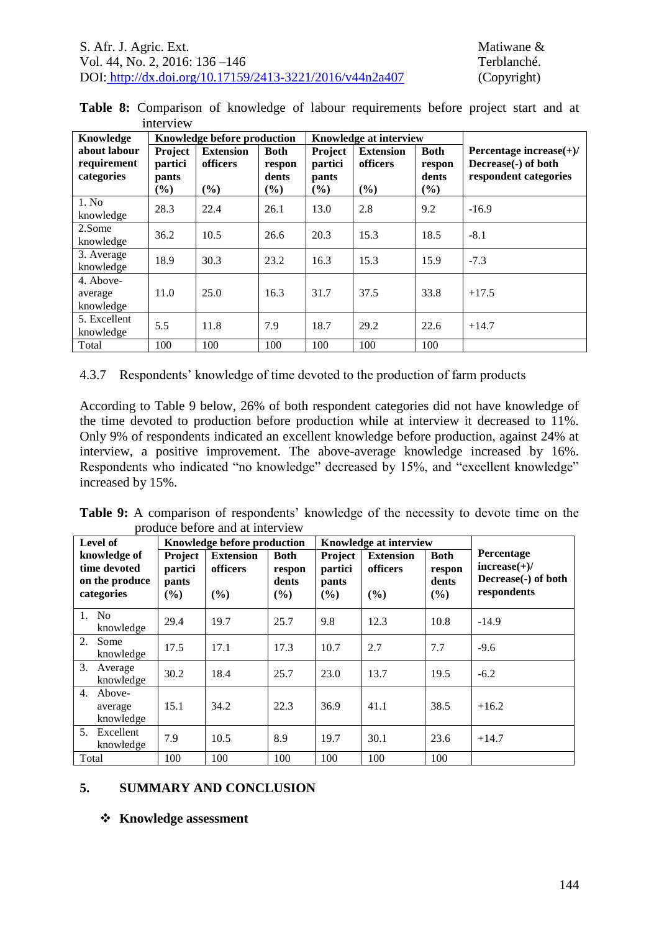<span id="page-8-0"></span>

|  |           |  |  | Table 8: Comparison of knowledge of labour requirements before project start and at |  |  |  |
|--|-----------|--|--|-------------------------------------------------------------------------------------|--|--|--|
|  | interview |  |  |                                                                                     |  |  |  |

| Knowledge                                 |                                              | Knowledge before production            |                                          |                                       | <b>Knowledge at interview</b>       |                                       |                                                                            |
|-------------------------------------------|----------------------------------------------|----------------------------------------|------------------------------------------|---------------------------------------|-------------------------------------|---------------------------------------|----------------------------------------------------------------------------|
| about labour<br>requirement<br>categories | <b>Project</b><br>partici<br>pants<br>$(\%)$ | <b>Extension</b><br>officers<br>$(\%)$ | <b>Both</b><br>respon<br>dents<br>$(\%)$ | Project<br>partici<br>pants<br>$(\%)$ | <b>Extension</b><br>officers<br>(%) | <b>Both</b><br>respon<br>dents<br>(%) | Percentage increase $(+)/$<br>Decrease(-) of both<br>respondent categories |
| 1. No<br>knowledge                        | 28.3                                         | 22.4                                   | 26.1                                     | 13.0                                  | 2.8                                 | 9.2                                   | $-16.9$                                                                    |
| 2.Some<br>knowledge                       | 36.2                                         | 10.5                                   | 26.6                                     | 20.3                                  | 15.3                                | 18.5                                  | $-8.1$                                                                     |
| 3. Average<br>knowledge                   | 18.9                                         | 30.3                                   | 23.2                                     | 16.3                                  | 15.3                                | 15.9                                  | $-7.3$                                                                     |
| 4. Above-<br>average<br>knowledge         | 11.0                                         | 25.0                                   | 16.3                                     | 31.7                                  | 37.5                                | 33.8                                  | $+17.5$                                                                    |
| 5. Excellent<br>knowledge                 | 5.5                                          | 11.8                                   | 7.9                                      | 18.7                                  | 29.2                                | 22.6                                  | $+14.7$                                                                    |
| Total                                     | 100                                          | 100                                    | 100                                      | 100                                   | 100                                 | 100                                   |                                                                            |

### 4.3.7 Respondents' knowledge of time devoted to the production of farm products

According to Table 9 [below,](#page-8-1) 26% of both respondent categories did not have knowledge of the time devoted to production before production while at interview it decreased to 11%. Only 9% of respondents indicated an excellent knowledge before production, against 24% at interview, a positive improvement. The above-average knowledge increased by 16%. Respondents who indicated "no knowledge" decreased by 15%, and "excellent knowledge" increased by 15%.

<span id="page-8-1"></span>**Table 9:** A comparison of respondents' knowledge of the necessity to devote time on the produce before and at interview

| Level of                                                     |                                                                                  | Knowledge before production |                                       |                                    | <b>Knowledge at interview</b>       |                                       |                                                                    |
|--------------------------------------------------------------|----------------------------------------------------------------------------------|-----------------------------|---------------------------------------|------------------------------------|-------------------------------------|---------------------------------------|--------------------------------------------------------------------|
| knowledge of<br>time devoted<br>on the produce<br>categories | <b>Project</b><br><b>Extension</b><br>officers<br>partici<br>pants<br>(%)<br>(%) |                             | <b>Both</b><br>respon<br>dents<br>(%) | Project<br>partici<br>pants<br>(%) | <b>Extension</b><br>officers<br>(%) | <b>Both</b><br>respon<br>dents<br>(%) | Percentage<br>$increase(+)/$<br>Decrease(-) of both<br>respondents |
| $1_{\cdot}$<br>N <sub>0</sub><br>knowledge                   | 29.4                                                                             | 19.7                        | 25.7                                  | 9.8                                | 12.3                                | 10.8                                  | $-14.9$                                                            |
| 2.<br>Some<br>knowledge                                      | 17.5                                                                             | 17.1                        | 17.3                                  | 10.7                               | 2.7                                 | 7.7                                   | $-9.6$                                                             |
| 3.<br>Average<br>knowledge                                   | 30.2                                                                             | 18.4                        | 25.7                                  | 23.0                               | 13.7                                | 19.5                                  | $-6.2$                                                             |
| 4.<br>Above-<br>average<br>knowledge                         | 15.1                                                                             | 34.2                        | 22.3                                  | 36.9                               | 41.1                                | 38.5                                  | $+16.2$                                                            |
| 5 <sub>1</sub><br>Excellent<br>knowledge                     | 7.9                                                                              | 10.5                        | 8.9                                   | 19.7                               | 30.1                                | 23.6                                  | $+14.7$                                                            |
| Total                                                        | 100                                                                              | 100                         | 100                                   | 100                                | 100                                 | 100                                   |                                                                    |

## **5. SUMMARY AND CONCLUSION**

## **Knowledge assessment**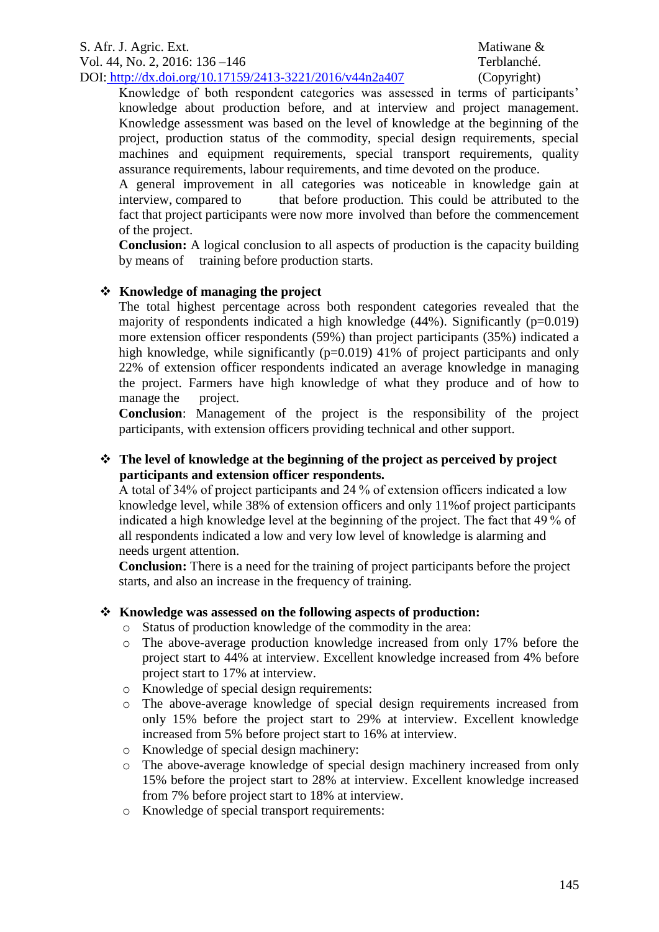### S. Afr. J. Agric. Ext. Matiwane & Vol. 44, No. 2, 2016: 136 –146 Terblanché. DOI: http://dx.doi.org/10.17159/2413-3221/2016/v44n2a407 (Copyright)

Knowledge of both respondent categories was assessed in terms of participants' knowledge about production before, and at interview and project management. Knowledge assessment was based on the level of knowledge at the beginning of the project, production status of the commodity, special design requirements, special machines and equipment requirements, special transport requirements, quality assurance requirements, labour requirements, and time devoted on the produce.

A general improvement in all categories was noticeable in knowledge gain at interview, compared to that before production. This could be attributed to the fact that project participants were now more involved than before the commencement of the project.

**Conclusion:** A logical conclusion to all aspects of production is the capacity building by means of training before production starts.

## **Knowledge of managing the project**

The total highest percentage across both respondent categories revealed that the majority of respondents indicated a high knowledge  $(44%)$ . Significantly  $(p=0.019)$ more extension officer respondents (59%) than project participants (35%) indicated a high knowledge, while significantly  $(p=0.019)$  41% of project participants and only 22% of extension officer respondents indicated an average knowledge in managing the project. Farmers have high knowledge of what they produce and of how to manage the project.

**Conclusion**: Management of the project is the responsibility of the project participants, with extension officers providing technical and other support.

## **The level of knowledge at the beginning of the project as perceived by project participants and extension officer respondents.**

A total of 34% of project participants and 24 % of extension officers indicated a low knowledge level, while 38% of extension officers and only 11%of project participants indicated a high knowledge level at the beginning of the project. The fact that 49 % of all respondents indicated a low and very low level of knowledge is alarming and needs urgent attention.

**Conclusion:** There is a need for the training of project participants before the project starts, and also an increase in the frequency of training.

## **Knowledge was assessed on the following aspects of production:**

- o Status of production knowledge of the commodity in the area:
- o The above-average production knowledge increased from only 17% before the project start to 44% at interview. Excellent knowledge increased from 4% before project start to 17% at interview.
- o Knowledge of special design requirements:
- o The above-average knowledge of special design requirements increased from only 15% before the project start to 29% at interview. Excellent knowledge increased from 5% before project start to 16% at interview.
- o Knowledge of special design machinery:
- o The above-average knowledge of special design machinery increased from only 15% before the project start to 28% at interview. Excellent knowledge increased from 7% before project start to 18% at interview.
- o Knowledge of special transport requirements: